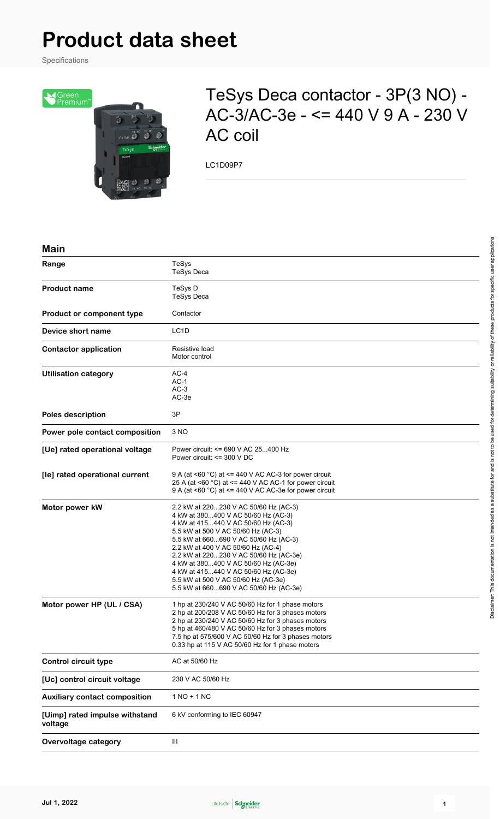# **Product data sheet**

Specifications



## TeSys Deca contactor - 3P(3 NO) - AC-3/AC-3e - <= 440 V 9 A - 230 V AC coil

LC1D09P7

#### **Main**

| Range                                     | TeSys<br><b>TeSys Deca</b>                                                                                                                                                                                                                                                                                                                                                                                                                          |
|-------------------------------------------|-----------------------------------------------------------------------------------------------------------------------------------------------------------------------------------------------------------------------------------------------------------------------------------------------------------------------------------------------------------------------------------------------------------------------------------------------------|
| <b>Product name</b>                       | TeSys D<br><b>TeSys Deca</b>                                                                                                                                                                                                                                                                                                                                                                                                                        |
| Product or component type                 | Contactor                                                                                                                                                                                                                                                                                                                                                                                                                                           |
| Device short name                         | LC <sub>1</sub> D                                                                                                                                                                                                                                                                                                                                                                                                                                   |
| <b>Contactor application</b>              | Resistive load<br>Motor control                                                                                                                                                                                                                                                                                                                                                                                                                     |
| <b>Utilisation category</b>               | $AC-4$<br>$AC-1$<br>$AC-3$<br>AC-3e                                                                                                                                                                                                                                                                                                                                                                                                                 |
| <b>Poles description</b>                  | 3P                                                                                                                                                                                                                                                                                                                                                                                                                                                  |
| Power pole contact composition            | 3 NO                                                                                                                                                                                                                                                                                                                                                                                                                                                |
| [Ue] rated operational voltage            | Power circuit: <= 690 V AC 25400 Hz<br>Power circuit: <= 300 V DC                                                                                                                                                                                                                                                                                                                                                                                   |
| [le] rated operational current            | 9 A (at <60 $^{\circ}$ C) at <= 440 V AC AC-3 for power circuit<br>25 A (at <60 $^{\circ}$ C) at <= 440 V AC AC-1 for power circuit<br>9 A (at <60 °C) at <= 440 V AC AC-3e for power circuit                                                                                                                                                                                                                                                       |
| Motor power kW                            | 2.2 kW at 220230 V AC 50/60 Hz (AC-3)<br>4 kW at 380400 V AC 50/60 Hz (AC-3)<br>4 kW at 415440 V AC 50/60 Hz (AC-3)<br>5.5 kW at 500 V AC 50/60 Hz (AC-3)<br>5.5 kW at 660690 V AC 50/60 Hz (AC-3)<br>2.2 kW at 400 V AC 50/60 Hz (AC-4)<br>2.2 kW at 220230 V AC 50/60 Hz (AC-3e)<br>4 kW at 380400 V AC 50/60 Hz (AC-3e)<br>4 kW at 415440 V AC 50/60 Hz (AC-3e)<br>5.5 kW at 500 V AC 50/60 Hz (AC-3e)<br>5.5 kW at 660690 V AC 50/60 Hz (AC-3e) |
| Motor power HP (UL / CSA)                 | 1 hp at 230/240 V AC 50/60 Hz for 1 phase motors<br>2 hp at 200/208 V AC 50/60 Hz for 3 phases motors<br>2 hp at 230/240 V AC 50/60 Hz for 3 phases motors<br>5 hp at 460/480 V AC 50/60 Hz for 3 phases motors<br>7.5 hp at 575/600 V AC 50/60 Hz for 3 phases motors<br>0.33 hp at 115 V AC 50/60 Hz for 1 phase motors                                                                                                                           |
| <b>Control circuit type</b>               | AC at 50/60 Hz                                                                                                                                                                                                                                                                                                                                                                                                                                      |
| [Uc] control circuit voltage              | 230 V AC 50/60 Hz                                                                                                                                                                                                                                                                                                                                                                                                                                   |
| <b>Auxiliary contact composition</b>      | $1 NO + 1 NC$                                                                                                                                                                                                                                                                                                                                                                                                                                       |
| [Uimp] rated impulse withstand<br>voltage | 6 kV conforming to IEC 60947                                                                                                                                                                                                                                                                                                                                                                                                                        |
| Overvoltage category                      | Ш                                                                                                                                                                                                                                                                                                                                                                                                                                                   |

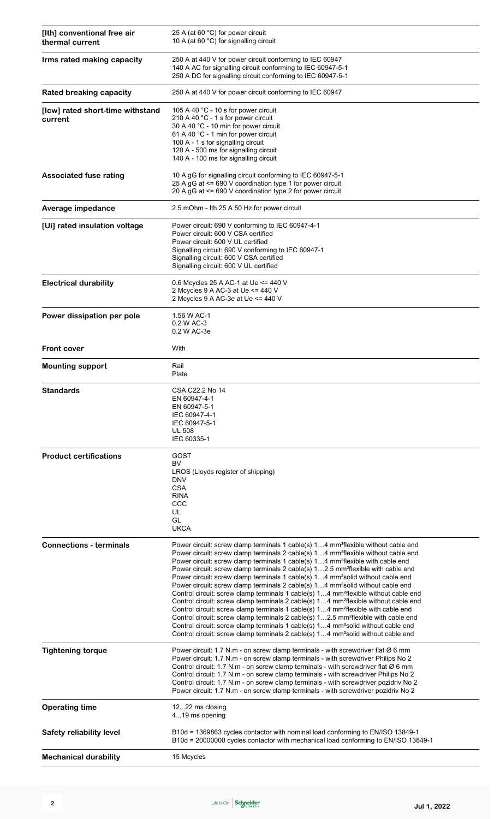| [Ith] conventional free air<br>thermal current | 25 A (at 60 °C) for power circuit<br>10 A (at 60 °C) for signalling circuit                                                                                                                                                                                                                                                                                                                                                                                                                                                                                                                                                                                                                                                                                                                                                                                                                                                                                                                                                                                                                                                                                                                      |  |  |
|------------------------------------------------|--------------------------------------------------------------------------------------------------------------------------------------------------------------------------------------------------------------------------------------------------------------------------------------------------------------------------------------------------------------------------------------------------------------------------------------------------------------------------------------------------------------------------------------------------------------------------------------------------------------------------------------------------------------------------------------------------------------------------------------------------------------------------------------------------------------------------------------------------------------------------------------------------------------------------------------------------------------------------------------------------------------------------------------------------------------------------------------------------------------------------------------------------------------------------------------------------|--|--|
| Irms rated making capacity                     | 250 A at 440 V for power circuit conforming to IEC 60947<br>140 A AC for signalling circuit conforming to IEC 60947-5-1<br>250 A DC for signalling circuit conforming to IEC 60947-5-1                                                                                                                                                                                                                                                                                                                                                                                                                                                                                                                                                                                                                                                                                                                                                                                                                                                                                                                                                                                                           |  |  |
| <b>Rated breaking capacity</b>                 | 250 A at 440 V for power circuit conforming to IEC 60947                                                                                                                                                                                                                                                                                                                                                                                                                                                                                                                                                                                                                                                                                                                                                                                                                                                                                                                                                                                                                                                                                                                                         |  |  |
| [Icw] rated short-time withstand<br>current    | 105 A 40 °C - 10 s for power circuit<br>210 A 40 °C - 1 s for power circuit<br>30 A 40 °C - 10 min for power circuit<br>61 A 40 °C - 1 min for power circuit<br>100 A - 1 s for signalling circuit<br>120 A - 500 ms for signalling circuit<br>140 A - 100 ms for signalling circuit                                                                                                                                                                                                                                                                                                                                                                                                                                                                                                                                                                                                                                                                                                                                                                                                                                                                                                             |  |  |
| <b>Associated fuse rating</b>                  | 10 A gG for signalling circuit conforming to IEC 60947-5-1<br>25 A gG at <= 690 V coordination type 1 for power circuit<br>20 A gG at <= 690 V coordination type 2 for power circuit                                                                                                                                                                                                                                                                                                                                                                                                                                                                                                                                                                                                                                                                                                                                                                                                                                                                                                                                                                                                             |  |  |
| Average impedance                              | 2.5 mOhm - Ith 25 A 50 Hz for power circuit                                                                                                                                                                                                                                                                                                                                                                                                                                                                                                                                                                                                                                                                                                                                                                                                                                                                                                                                                                                                                                                                                                                                                      |  |  |
| [Ui] rated insulation voltage                  | Power circuit: 690 V conforming to IEC 60947-4-1<br>Power circuit: 600 V CSA certified<br>Power circuit: 600 V UL certified<br>Signalling circuit: 690 V conforming to IEC 60947-1<br>Signalling circuit: 600 V CSA certified<br>Signalling circuit: 600 V UL certified                                                                                                                                                                                                                                                                                                                                                                                                                                                                                                                                                                                                                                                                                                                                                                                                                                                                                                                          |  |  |
| <b>Electrical durability</b>                   | 0.6 Mcycles 25 A AC-1 at Ue $\leq$ 440 V<br>2 Mcycles 9 A AC-3 at Ue <= 440 V<br>2 Mcycles 9 A AC-3e at Ue <= 440 V                                                                                                                                                                                                                                                                                                                                                                                                                                                                                                                                                                                                                                                                                                                                                                                                                                                                                                                                                                                                                                                                              |  |  |
| Power dissipation per pole                     | 1.56 W AC-1<br>0.2 W AC-3<br>0.2 W AC-3e                                                                                                                                                                                                                                                                                                                                                                                                                                                                                                                                                                                                                                                                                                                                                                                                                                                                                                                                                                                                                                                                                                                                                         |  |  |
| <b>Front cover</b>                             | With                                                                                                                                                                                                                                                                                                                                                                                                                                                                                                                                                                                                                                                                                                                                                                                                                                                                                                                                                                                                                                                                                                                                                                                             |  |  |
| <b>Mounting support</b>                        | Rail<br>Plate                                                                                                                                                                                                                                                                                                                                                                                                                                                                                                                                                                                                                                                                                                                                                                                                                                                                                                                                                                                                                                                                                                                                                                                    |  |  |
| <b>Standards</b>                               | CSA C22.2 No 14<br>EN 60947-4-1<br>EN 60947-5-1<br>IEC 60947-4-1<br>IEC 60947-5-1<br><b>UL 508</b><br>IEC 60335-1                                                                                                                                                                                                                                                                                                                                                                                                                                                                                                                                                                                                                                                                                                                                                                                                                                                                                                                                                                                                                                                                                |  |  |
| <b>Product certifications</b>                  | GOST<br>BV<br>LROS (Lloyds register of shipping)<br><b>DNV</b><br><b>CSA</b><br><b>RINA</b><br>$_{\rm ccc}$<br>UL<br>GL<br><b>UKCA</b>                                                                                                                                                                                                                                                                                                                                                                                                                                                                                                                                                                                                                                                                                                                                                                                                                                                                                                                                                                                                                                                           |  |  |
| <b>Connections - terminals</b>                 | Power circuit: screw clamp terminals 1 cable(s) 14 mm <sup>2</sup> flexible without cable end<br>Power circuit: screw clamp terminals 2 cable(s) 14 mm <sup>2</sup> flexible without cable end<br>Power circuit: screw clamp terminals 1 cable(s) 14 mm <sup>2</sup> flexible with cable end<br>Power circuit: screw clamp terminals 2 cable(s) 12.5 mm <sup>2</sup> flexible with cable end<br>Power circuit: screw clamp terminals 1 cable(s) 14 mm <sup>2</sup> solid without cable end<br>Power circuit: screw clamp terminals 2 cable(s) 14 mm <sup>2</sup> solid without cable end<br>Control circuit: screw clamp terminals 1 cable(s) 14 mm <sup>2</sup> flexible without cable end<br>Control circuit: screw clamp terminals 2 cable(s) 14 mm <sup>2</sup> flexible without cable end<br>Control circuit: screw clamp terminals 1 cable(s) 14 mm <sup>2</sup> flexible with cable end<br>Control circuit: screw clamp terminals 2 cable(s) 12.5 mm <sup>2</sup> flexible with cable end<br>Control circuit: screw clamp terminals 1 cable(s) 14 mm <sup>2</sup> solid without cable end<br>Control circuit: screw clamp terminals 2 cable(s) 14 mm <sup>2</sup> solid without cable end |  |  |
| <b>Tightening torque</b>                       | Power circuit: 1.7 N.m - on screw clamp terminals - with screwdriver flat $\emptyset$ 6 mm<br>Power circuit: 1.7 N.m - on screw clamp terminals - with screwdriver Philips No 2<br>Control circuit: 1.7 N.m - on screw clamp terminals - with screwdriver flat Ø 6 mm<br>Control circuit: 1.7 N.m - on screw clamp terminals - with screwdriver Philips No 2<br>Control circuit: 1.7 N.m - on screw clamp terminals - with screwdriver pozidriv No 2<br>Power circuit: 1.7 N.m - on screw clamp terminals - with screwdriver pozidriv No 2                                                                                                                                                                                                                                                                                                                                                                                                                                                                                                                                                                                                                                                       |  |  |
| <b>Operating time</b>                          | 1222 ms closing<br>419 ms opening                                                                                                                                                                                                                                                                                                                                                                                                                                                                                                                                                                                                                                                                                                                                                                                                                                                                                                                                                                                                                                                                                                                                                                |  |  |
| Safety reliability level                       | B10d = 1369863 cycles contactor with nominal load conforming to EN/ISO 13849-1<br>B10d = 20000000 cycles contactor with mechanical load conforming to EN/ISO 13849-1                                                                                                                                                                                                                                                                                                                                                                                                                                                                                                                                                                                                                                                                                                                                                                                                                                                                                                                                                                                                                             |  |  |
| <b>Mechanical durability</b>                   | 15 Mcycles                                                                                                                                                                                                                                                                                                                                                                                                                                                                                                                                                                                                                                                                                                                                                                                                                                                                                                                                                                                                                                                                                                                                                                                       |  |  |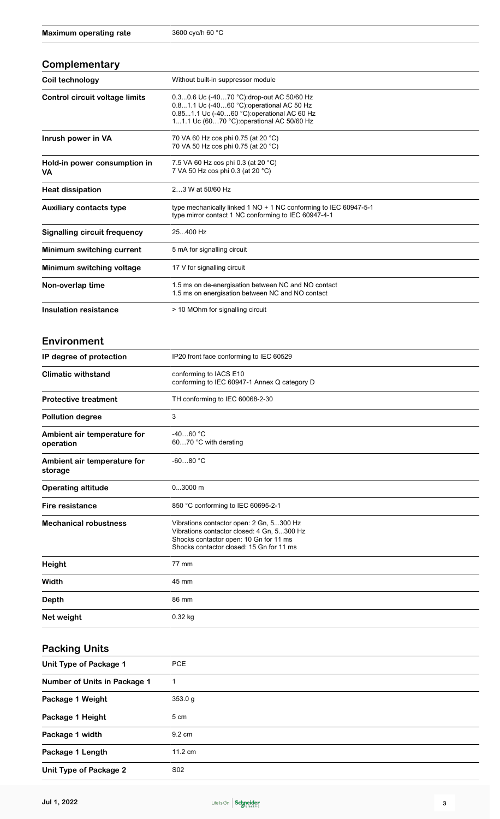#### **Complementary**

| Coil technology                     | Without built-in suppressor module                                                                                                                                                   |  |
|-------------------------------------|--------------------------------------------------------------------------------------------------------------------------------------------------------------------------------------|--|
| Control circuit voltage limits      | 0.30.6 Uc (-4070 °C): drop-out AC 50/60 Hz<br>0.81.1 Uc (-4060 °C): operational AC 50 Hz<br>0.851.1 Uc (-4060 °C) operational AC 60 Hz<br>11.1 Uc (6070 °C): operational AC 50/60 Hz |  |
| Inrush power in VA                  | 70 VA 60 Hz cos phi 0.75 (at 20 °C)<br>70 VA 50 Hz cos phi 0.75 (at 20 °C)                                                                                                           |  |
| Hold-in power consumption in<br>VA  | 7.5 VA 60 Hz cos phi 0.3 (at 20 °C)<br>7 VA 50 Hz cos phi 0.3 (at 20 °C)                                                                                                             |  |
| <b>Heat dissipation</b>             | 23 W at 50/60 Hz                                                                                                                                                                     |  |
| <b>Auxiliary contacts type</b>      | type mechanically linked $1 NO + 1 NC$ conforming to IEC 60947-5-1<br>type mirror contact 1 NC conforming to IEC 60947-4-1                                                           |  |
| <b>Signalling circuit frequency</b> | 25400 Hz                                                                                                                                                                             |  |
| Minimum switching current           | 5 mA for signalling circuit                                                                                                                                                          |  |
| Minimum switching voltage           | 17 V for signalling circuit                                                                                                                                                          |  |
| Non-overlap time                    | 1.5 ms on de-energisation between NC and NO contact<br>1.5 ms on energisation between NC and NO contact                                                                              |  |
| <b>Insulation resistance</b>        | > 10 MOhm for signalling circuit                                                                                                                                                     |  |
| Environment                         |                                                                                                                                                                                      |  |
| IP degree of protection             | IP20 front face conforming to IEC 60529                                                                                                                                              |  |
| <b>Climatic withstand</b>           | conforming to IACS E10                                                                                                                                                               |  |

| <b>Climatic withstand</b><br>conforming to IACS E10<br>conforming to IEC 60947-1 Annex Q category D |                                                                                                                                                                              |  |
|-----------------------------------------------------------------------------------------------------|------------------------------------------------------------------------------------------------------------------------------------------------------------------------------|--|
| <b>Protective treatment</b>                                                                         | TH conforming to IEC 60068-2-30                                                                                                                                              |  |
| <b>Pollution degree</b>                                                                             | 3                                                                                                                                                                            |  |
| Ambient air temperature for<br>operation                                                            | $-4060 °C$<br>6070 °C with derating                                                                                                                                          |  |
| Ambient air temperature for<br>storage                                                              | $-6080 °C$                                                                                                                                                                   |  |
| <b>Operating altitude</b>                                                                           | $03000$ m                                                                                                                                                                    |  |
| Fire resistance                                                                                     | 850 °C conforming to IEC 60695-2-1                                                                                                                                           |  |
| <b>Mechanical robustness</b>                                                                        | Vibrations contactor open: 2 Gn, 5300 Hz<br>Vibrations contactor closed: 4 Gn, 5300 Hz<br>Shocks contactor open: 10 Gn for 11 ms<br>Shocks contactor closed: 15 Gn for 11 ms |  |
| <b>Height</b>                                                                                       | 77 mm                                                                                                                                                                        |  |
| Width                                                                                               | 45 mm                                                                                                                                                                        |  |
| <b>Depth</b>                                                                                        | 86 mm                                                                                                                                                                        |  |
| Net weight                                                                                          | $0.32$ kg                                                                                                                                                                    |  |

#### **Packing Units**

| Unit Type of Package 1       | <b>PCE</b>        |  |
|------------------------------|-------------------|--|
| Number of Units in Package 1 | 1                 |  |
| Package 1 Weight             | 353.0 g           |  |
| Package 1 Height             | 5 cm              |  |
| Package 1 width              | $9.2 \text{ cm}$  |  |
| Package 1 Length             | $11.2 \text{ cm}$ |  |
| Unit Type of Package 2       | S <sub>02</sub>   |  |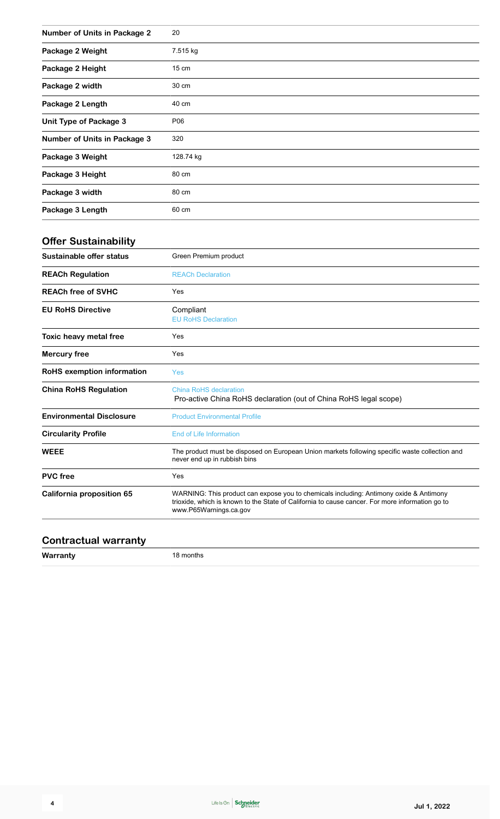| <b>Number of Units in Package 2</b> | 20              |
|-------------------------------------|-----------------|
| Package 2 Weight                    | 7.515 kg        |
| Package 2 Height                    | $15 \text{ cm}$ |
| Package 2 width                     | 30 cm           |
| Package 2 Length                    | 40 cm           |
| <b>Unit Type of Package 3</b>       | P06             |
| <b>Number of Units in Package 3</b> | 320             |
| Package 3 Weight                    | 128.74 kg       |
| Package 3 Height                    | 80 cm           |
| Package 3 width                     | 80 cm           |
| Package 3 Length                    | 60 cm           |

### **Offer Sustainability**

| Green Premium product                                                                                                                                                                                               |  |  |
|---------------------------------------------------------------------------------------------------------------------------------------------------------------------------------------------------------------------|--|--|
| <b>REACh Declaration</b>                                                                                                                                                                                            |  |  |
| Yes                                                                                                                                                                                                                 |  |  |
| Compliant<br><b>EU RoHS Declaration</b>                                                                                                                                                                             |  |  |
| Yes                                                                                                                                                                                                                 |  |  |
| Yes                                                                                                                                                                                                                 |  |  |
| Yes                                                                                                                                                                                                                 |  |  |
| China RoHS declaration<br>Pro-active China RoHS declaration (out of China RoHS legal scope)                                                                                                                         |  |  |
| <b>Product Environmental Profile</b>                                                                                                                                                                                |  |  |
| <b>End of Life Information</b>                                                                                                                                                                                      |  |  |
| The product must be disposed on European Union markets following specific waste collection and<br>never end up in rubbish bins                                                                                      |  |  |
| Yes                                                                                                                                                                                                                 |  |  |
| WARNING: This product can expose you to chemicals including: Antimony oxide & Antimony<br>trioxide, which is known to the State of California to cause cancer. For more information go to<br>www.P65Warnings.ca.gov |  |  |
|                                                                                                                                                                                                                     |  |  |

#### **Contractual warranty**

**ty** 18 months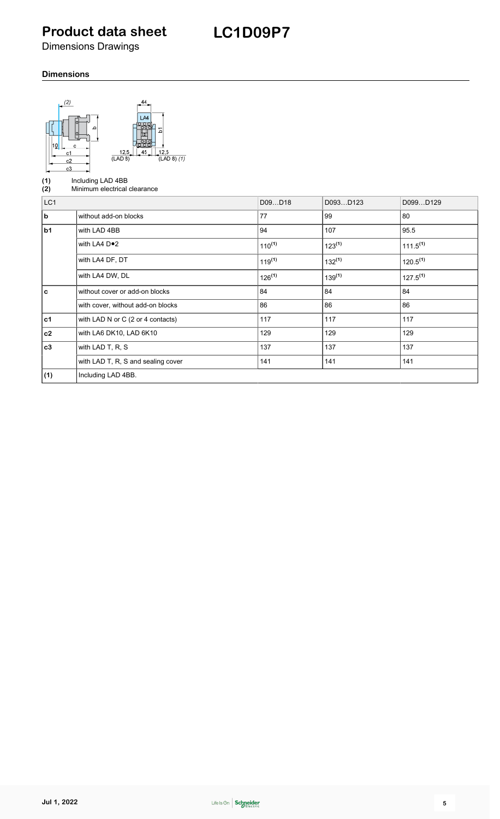### **Product data sheet**

**LC1D09P7**

Dimensions Drawings

#### **Dimensions**

| (2)<br>с<br>c1<br>c2<br>c3 | 44<br>LA4<br>12,5<br>12,5<br>$(LAD 8)$ $(1)$<br>(LAD 8) |             |             |               |
|----------------------------|---------------------------------------------------------|-------------|-------------|---------------|
| (1)<br>(2)                 | Including LAD 4BB<br>Minimum electrical clearance       |             |             |               |
| LC <sub>1</sub>            |                                                         | D09D18      | D093D123    | D099D129      |
| b                          | without add-on blocks                                   | 77          | 99          | 80            |
| b1                         | with LAD 4BB                                            | 94          | 107         | 95.5          |
|                            | with LA4 D <sup>o</sup> 2                               | $110^{(1)}$ | $123^{(1)}$ | $111.5^{(1)}$ |
|                            | with LA4 DF, DT                                         | $119^{(1)}$ | $132^{(1)}$ | $120.5^{(1)}$ |
|                            | with LA4 DW, DL                                         | $126^{(1)}$ | $139^{(1)}$ | $127.5^{(1)}$ |
| $\mathbf c$                | without cover or add-on blocks                          | 84          | 84          | 84            |
|                            | with cover, without add-on blocks                       | 86          | 86          | 86            |
| $c1$                       | with LAD N or C (2 or 4 contacts)                       | 117         | 117         | 117           |
| c2                         | with LA6 DK10, LAD 6K10                                 | 129         | 129         | 129           |
| c3                         | with LAD T, R, S                                        | 137         | 137         | 137           |
|                            | with LAD T, R, S and sealing cover                      | 141         | 141         | 141           |
| (1)                        | Including LAD 4BB.                                      |             |             |               |